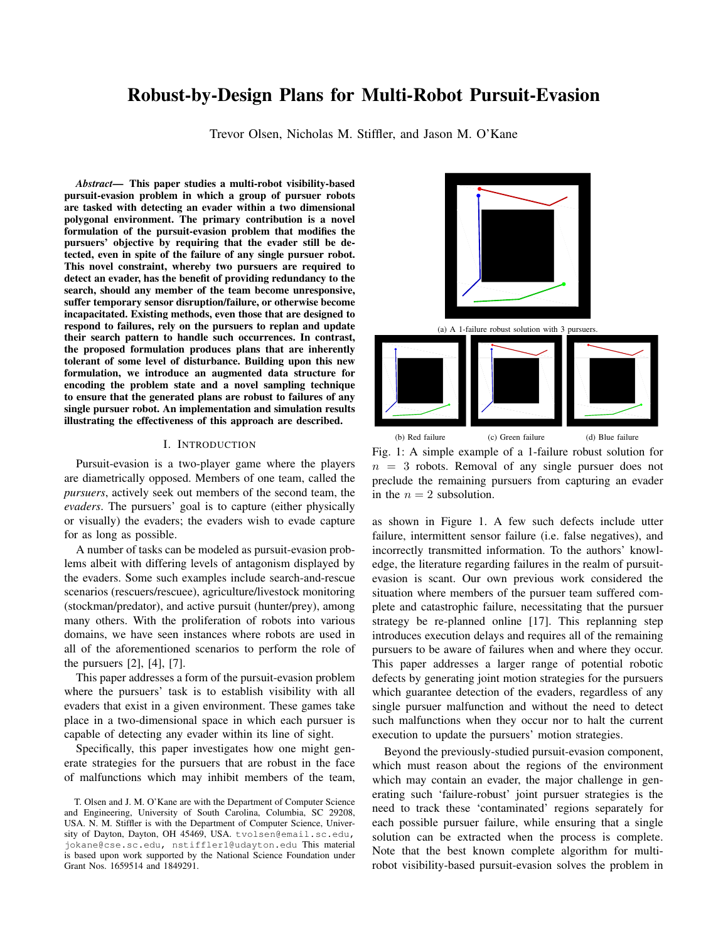# Robust-by-Design Plans for Multi-Robot Pursuit-Evasion

Trevor Olsen, Nicholas M. Stiffler, and Jason M. O'Kane

*Abstract*— This paper studies a multi-robot visibility-based pursuit-evasion problem in which a group of pursuer robots are tasked with detecting an evader within a two dimensional polygonal environment. The primary contribution is a novel formulation of the pursuit-evasion problem that modifies the pursuers' objective by requiring that the evader still be detected, even in spite of the failure of any single pursuer robot. This novel constraint, whereby two pursuers are required to detect an evader, has the benefit of providing redundancy to the search, should any member of the team become unresponsive, suffer temporary sensor disruption/failure, or otherwise become incapacitated. Existing methods, even those that are designed to respond to failures, rely on the pursuers to replan and update their search pattern to handle such occurrences. In contrast, the proposed formulation produces plans that are inherently tolerant of some level of disturbance. Building upon this new formulation, we introduce an augmented data structure for encoding the problem state and a novel sampling technique to ensure that the generated plans are robust to failures of any single pursuer robot. An implementation and simulation results illustrating the effectiveness of this approach are described.

### I. INTRODUCTION

Pursuit-evasion is a two-player game where the players are diametrically opposed. Members of one team, called the *pursuers*, actively seek out members of the second team, the *evaders*. The pursuers' goal is to capture (either physically or visually) the evaders; the evaders wish to evade capture for as long as possible.

A number of tasks can be modeled as pursuit-evasion problems albeit with differing levels of antagonism displayed by the evaders. Some such examples include search-and-rescue scenarios (rescuers/rescuee), agriculture/livestock monitoring (stockman/predator), and active pursuit (hunter/prey), among many others. With the proliferation of robots into various domains, we have seen instances where robots are used in all of the aforementioned scenarios to perform the role of the pursuers [2], [4], [7].

This paper addresses a form of the pursuit-evasion problem where the pursuers' task is to establish visibility with all evaders that exist in a given environment. These games take place in a two-dimensional space in which each pursuer is capable of detecting any evader within its line of sight.

Specifically, this paper investigates how one might generate strategies for the pursuers that are robust in the face of malfunctions which may inhibit members of the team,



Fig. 1: A simple example of a 1-failure robust solution for  $n = 3$  robots. Removal of any single pursuer does not preclude the remaining pursuers from capturing an evader in the  $n = 2$  subsolution.

as shown in Figure 1. A few such defects include utter failure, intermittent sensor failure (i.e. false negatives), and incorrectly transmitted information. To the authors' knowledge, the literature regarding failures in the realm of pursuitevasion is scant. Our own previous work considered the situation where members of the pursuer team suffered complete and catastrophic failure, necessitating that the pursuer strategy be re-planned online [17]. This replanning step introduces execution delays and requires all of the remaining pursuers to be aware of failures when and where they occur. This paper addresses a larger range of potential robotic defects by generating joint motion strategies for the pursuers which guarantee detection of the evaders, regardless of any single pursuer malfunction and without the need to detect such malfunctions when they occur nor to halt the current execution to update the pursuers' motion strategies.

Beyond the previously-studied pursuit-evasion component, which must reason about the regions of the environment which may contain an evader, the major challenge in generating such 'failure-robust' joint pursuer strategies is the need to track these 'contaminated' regions separately for each possible pursuer failure, while ensuring that a single solution can be extracted when the process is complete. Note that the best known complete algorithm for multirobot visibility-based pursuit-evasion solves the problem in

T. Olsen and J. M. O'Kane are with the Department of Computer Science and Engineering, University of South Carolina, Columbia, SC 29208, USA. N. M. Stiffler is with the Department of Computer Science, University of Dayton, Dayton, OH 45469, USA. tvolsen@email.sc.edu, jokane@cse.sc.edu, nstiffler1@udayton.edu This material is based upon work supported by the National Science Foundation under Grant Nos. 1659514 and 1849291.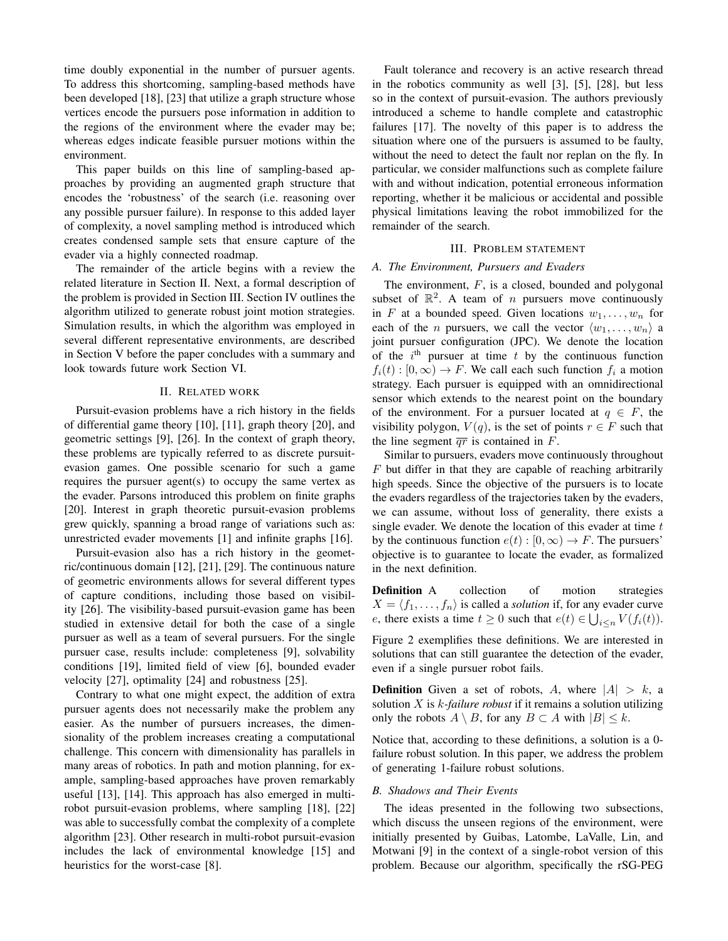time doubly exponential in the number of pursuer agents. To address this shortcoming, sampling-based methods have been developed [18], [23] that utilize a graph structure whose vertices encode the pursuers pose information in addition to the regions of the environment where the evader may be; whereas edges indicate feasible pursuer motions within the environment.

This paper builds on this line of sampling-based approaches by providing an augmented graph structure that encodes the 'robustness' of the search (i.e. reasoning over any possible pursuer failure). In response to this added layer of complexity, a novel sampling method is introduced which creates condensed sample sets that ensure capture of the evader via a highly connected roadmap.

The remainder of the article begins with a review the related literature in Section II. Next, a formal description of the problem is provided in Section III. Section IV outlines the algorithm utilized to generate robust joint motion strategies. Simulation results, in which the algorithm was employed in several different representative environments, are described in Section V before the paper concludes with a summary and look towards future work Section VI.

## II. RELATED WORK

Pursuit-evasion problems have a rich history in the fields of differential game theory [10], [11], graph theory [20], and geometric settings [9], [26]. In the context of graph theory, these problems are typically referred to as discrete pursuitevasion games. One possible scenario for such a game requires the pursuer agent(s) to occupy the same vertex as the evader. Parsons introduced this problem on finite graphs [20]. Interest in graph theoretic pursuit-evasion problems grew quickly, spanning a broad range of variations such as: unrestricted evader movements [1] and infinite graphs [16].

Pursuit-evasion also has a rich history in the geometric/continuous domain [12], [21], [29]. The continuous nature of geometric environments allows for several different types of capture conditions, including those based on visibility [26]. The visibility-based pursuit-evasion game has been studied in extensive detail for both the case of a single pursuer as well as a team of several pursuers. For the single pursuer case, results include: completeness [9], solvability conditions [19], limited field of view [6], bounded evader velocity [27], optimality [24] and robustness [25].

Contrary to what one might expect, the addition of extra pursuer agents does not necessarily make the problem any easier. As the number of pursuers increases, the dimensionality of the problem increases creating a computational challenge. This concern with dimensionality has parallels in many areas of robotics. In path and motion planning, for example, sampling-based approaches have proven remarkably useful [13], [14]. This approach has also emerged in multirobot pursuit-evasion problems, where sampling [18], [22] was able to successfully combat the complexity of a complete algorithm [23]. Other research in multi-robot pursuit-evasion includes the lack of environmental knowledge [15] and heuristics for the worst-case [8].

Fault tolerance and recovery is an active research thread in the robotics community as well [3], [5], [28], but less so in the context of pursuit-evasion. The authors previously introduced a scheme to handle complete and catastrophic failures [17]. The novelty of this paper is to address the situation where one of the pursuers is assumed to be faulty, without the need to detect the fault nor replan on the fly. In particular, we consider malfunctions such as complete failure with and without indication, potential erroneous information reporting, whether it be malicious or accidental and possible physical limitations leaving the robot immobilized for the remainder of the search.

## III. PROBLEM STATEMENT

#### *A. The Environment, Pursuers and Evaders*

The environment,  $F$ , is a closed, bounded and polygonal subset of  $\mathbb{R}^2$ . A team of *n* pursuers move continuously in F at a bounded speed. Given locations  $w_1, \ldots, w_n$  for each of the *n* pursuers, we call the vector  $\langle w_1, \ldots, w_n \rangle$  a joint pursuer configuration (JPC). We denote the location of the  $i<sup>th</sup>$  pursuer at time t by the continuous function  $f_i(t): [0, \infty) \to F$ . We call each such function  $f_i$  a motion strategy. Each pursuer is equipped with an omnidirectional sensor which extends to the nearest point on the boundary of the environment. For a pursuer located at  $q \in F$ , the visibility polygon,  $V(q)$ , is the set of points  $r \in F$  such that the line segment  $\overline{qr}$  is contained in F.

Similar to pursuers, evaders move continuously throughout  $F$  but differ in that they are capable of reaching arbitrarily high speeds. Since the objective of the pursuers is to locate the evaders regardless of the trajectories taken by the evaders, we can assume, without loss of generality, there exists a single evader. We denote the location of this evader at time  $t$ by the continuous function  $e(t): [0, \infty) \to F$ . The pursuers' objective is to guarantee to locate the evader, as formalized in the next definition.

**Definition** A collection of motion strategies  $X = \langle f_1, \ldots, f_n \rangle$  is called a *solution* if, for any evader curve e, there exists a time  $t \geq 0$  such that  $e(t) \in \bigcup_{i \leq n} V(f_i(t))$ .

Figure 2 exemplifies these definitions. We are interested in solutions that can still guarantee the detection of the evader, even if a single pursuer robot fails.

**Definition** Given a set of robots, A, where  $|A| > k$ , a solution X is k*-failure robust* if it remains a solution utilizing only the robots  $A \setminus B$ , for any  $B \subset A$  with  $|B| \leq k$ .

Notice that, according to these definitions, a solution is a 0 failure robust solution. In this paper, we address the problem of generating 1-failure robust solutions.

## *B. Shadows and Their Events*

The ideas presented in the following two subsections, which discuss the unseen regions of the environment, were initially presented by Guibas, Latombe, LaValle, Lin, and Motwani [9] in the context of a single-robot version of this problem. Because our algorithm, specifically the rSG-PEG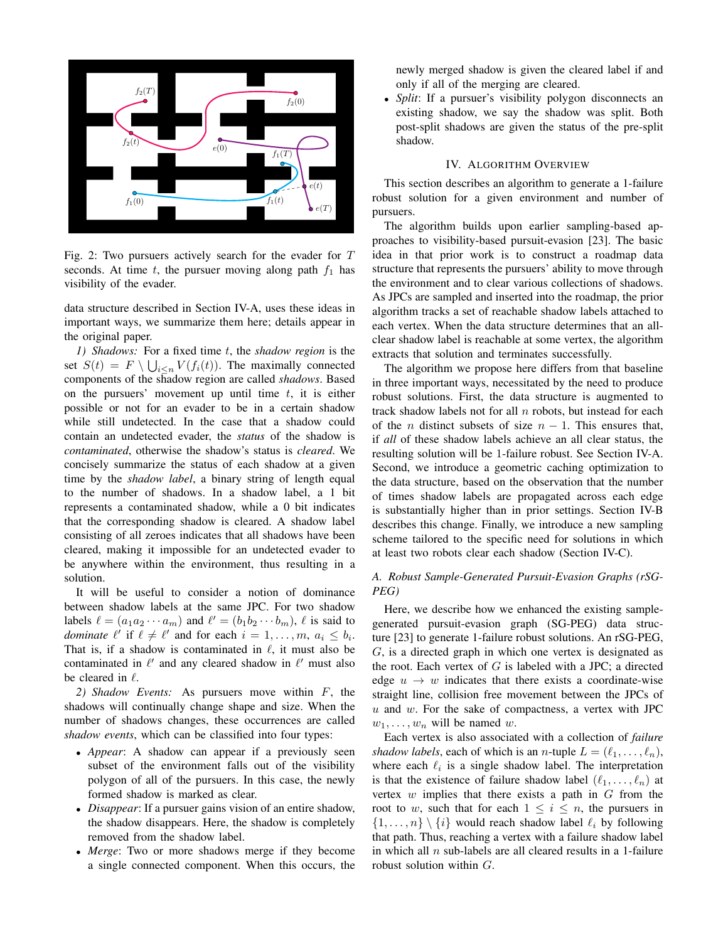

Fig. 2: Two pursuers actively search for the evader for T seconds. At time  $t$ , the pursuer moving along path  $f_1$  has visibility of the evader.

data structure described in Section IV-A, uses these ideas in important ways, we summarize them here; details appear in the original paper.

*1) Shadows:* For a fixed time t, the *shadow region* is the set  $S(t) = F \setminus \bigcup_{i \leq n} V(f_i(t))$ . The maximally connected components of the shadow region are called *shadows*. Based on the pursuers' movement up until time  $t$ , it is either possible or not for an evader to be in a certain shadow while still undetected. In the case that a shadow could contain an undetected evader, the *status* of the shadow is *contaminated*, otherwise the shadow's status is *cleared*. We concisely summarize the status of each shadow at a given time by the *shadow label*, a binary string of length equal to the number of shadows. In a shadow label, a 1 bit represents a contaminated shadow, while a 0 bit indicates that the corresponding shadow is cleared. A shadow label consisting of all zeroes indicates that all shadows have been cleared, making it impossible for an undetected evader to be anywhere within the environment, thus resulting in a solution.

It will be useful to consider a notion of dominance between shadow labels at the same JPC. For two shadow labels  $\ell = (a_1 a_2 \cdots a_m)$  and  $\ell' = (b_1 b_2 \cdots b_m)$ ,  $\ell$  is said to *dominate*  $\ell'$  if  $\ell \neq \ell'$  and for each  $i = 1, ..., m$ ,  $a_i \leq b_i$ . That is, if a shadow is contaminated in  $\ell$ , it must also be contaminated in  $\ell'$  and any cleared shadow in  $\ell'$  must also be cleared in  $\ell$ .

*2) Shadow Events:* As pursuers move within F, the shadows will continually change shape and size. When the number of shadows changes, these occurrences are called *shadow events*, which can be classified into four types:

- *Appear*: A shadow can appear if a previously seen subset of the environment falls out of the visibility polygon of all of the pursuers. In this case, the newly formed shadow is marked as clear.
- *Disappear*: If a pursuer gains vision of an entire shadow, the shadow disappears. Here, the shadow is completely removed from the shadow label.
- *Merge*: Two or more shadows merge if they become a single connected component. When this occurs, the

newly merged shadow is given the cleared label if and only if all of the merging are cleared.

• *Split*: If a pursuer's visibility polygon disconnects an existing shadow, we say the shadow was split. Both post-split shadows are given the status of the pre-split shadow.

## IV. ALGORITHM OVERVIEW

This section describes an algorithm to generate a 1-failure robust solution for a given environment and number of pursuers.

The algorithm builds upon earlier sampling-based approaches to visibility-based pursuit-evasion [23]. The basic idea in that prior work is to construct a roadmap data structure that represents the pursuers' ability to move through the environment and to clear various collections of shadows. As JPCs are sampled and inserted into the roadmap, the prior algorithm tracks a set of reachable shadow labels attached to each vertex. When the data structure determines that an allclear shadow label is reachable at some vertex, the algorithm extracts that solution and terminates successfully.

The algorithm we propose here differs from that baseline in three important ways, necessitated by the need to produce robust solutions. First, the data structure is augmented to track shadow labels not for all  $n$  robots, but instead for each of the *n* distinct subsets of size  $n - 1$ . This ensures that, if *all* of these shadow labels achieve an all clear status, the resulting solution will be 1-failure robust. See Section IV-A. Second, we introduce a geometric caching optimization to the data structure, based on the observation that the number of times shadow labels are propagated across each edge is substantially higher than in prior settings. Section IV-B describes this change. Finally, we introduce a new sampling scheme tailored to the specific need for solutions in which at least two robots clear each shadow (Section IV-C).

## *A. Robust Sample-Generated Pursuit-Evasion Graphs (rSG-PEG)*

Here, we describe how we enhanced the existing samplegenerated pursuit-evasion graph (SG-PEG) data structure [23] to generate 1-failure robust solutions. An rSG-PEG, G, is a directed graph in which one vertex is designated as the root. Each vertex of  $G$  is labeled with a JPC; a directed edge  $u \rightarrow w$  indicates that there exists a coordinate-wise straight line, collision free movement between the JPCs of  $u$  and  $w$ . For the sake of compactness, a vertex with JPC  $w_1, \ldots, w_n$  will be named w.

Each vertex is also associated with a collection of *failure shadow labels*, each of which is an *n*-tuple  $L = (\ell_1, \ldots, \ell_n)$ , where each  $\ell_i$  is a single shadow label. The interpretation is that the existence of failure shadow label  $(\ell_1, \ldots, \ell_n)$  at vertex  $w$  implies that there exists a path in  $G$  from the root to w, such that for each  $1 \leq i \leq n$ , the pursuers in  $\{1, \ldots, n\} \setminus \{i\}$  would reach shadow label  $\ell_i$  by following that path. Thus, reaching a vertex with a failure shadow label in which all  $n$  sub-labels are all cleared results in a 1-failure robust solution within G.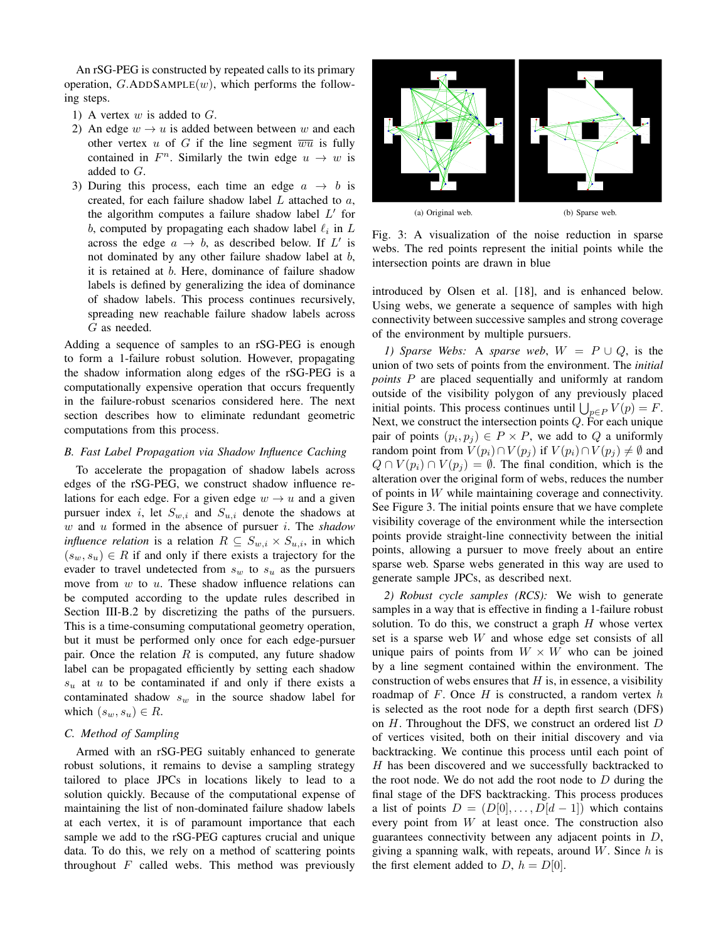An rSG-PEG is constructed by repeated calls to its primary operation,  $G.\text{ADDSAMPLE}(w)$ , which performs the following steps.

- 1) A vertex  $w$  is added to  $G$ .
- 2) An edge  $w \rightarrow u$  is added between between w and each other vertex u of G if the line segment  $\overline{wu}$  is fully contained in  $F<sup>n</sup>$ . Similarly the twin edge  $u \rightarrow w$  is added to G.
- 3) During this process, each time an edge  $a \rightarrow b$  is created, for each failure shadow label L attached to a, the algorithm computes a failure shadow label  $L'$  for b, computed by propagating each shadow label  $\ell_i$  in  $L$ across the edge  $a \rightarrow b$ , as described below. If L' is not dominated by any other failure shadow label at b, it is retained at b. Here, dominance of failure shadow labels is defined by generalizing the idea of dominance of shadow labels. This process continues recursively, spreading new reachable failure shadow labels across G as needed.

Adding a sequence of samples to an rSG-PEG is enough to form a 1-failure robust solution. However, propagating the shadow information along edges of the rSG-PEG is a computationally expensive operation that occurs frequently in the failure-robust scenarios considered here. The next section describes how to eliminate redundant geometric computations from this process.

## *B. Fast Label Propagation via Shadow Influence Caching*

To accelerate the propagation of shadow labels across edges of the rSG-PEG, we construct shadow influence relations for each edge. For a given edge  $w \rightarrow u$  and a given pursuer index *i*, let  $S_{w,i}$  and  $S_{u,i}$  denote the shadows at w and u formed in the absence of pursuer i. The *shadow influence relation* is a relation  $R \subseteq S_{w,i} \times S_{u,i}$ , in which  $(s_w, s_u) \in R$  if and only if there exists a trajectory for the evader to travel undetected from  $s_w$  to  $s_u$  as the pursuers move from  $w$  to  $u$ . These shadow influence relations can be computed according to the update rules described in Section III-B.2 by discretizing the paths of the pursuers. This is a time-consuming computational geometry operation, but it must be performed only once for each edge-pursuer pair. Once the relation  $R$  is computed, any future shadow label can be propagated efficiently by setting each shadow  $s<sub>u</sub>$  at u to be contaminated if and only if there exists a contaminated shadow  $s_w$  in the source shadow label for which  $(s_w, s_u) \in R$ .

## *C. Method of Sampling*

Armed with an rSG-PEG suitably enhanced to generate robust solutions, it remains to devise a sampling strategy tailored to place JPCs in locations likely to lead to a solution quickly. Because of the computational expense of maintaining the list of non-dominated failure shadow labels at each vertex, it is of paramount importance that each sample we add to the rSG-PEG captures crucial and unique data. To do this, we rely on a method of scattering points throughout  $F$  called webs. This method was previously



(a) Original web. (b) Sparse web.

Fig. 3: A visualization of the noise reduction in sparse webs. The red points represent the initial points while the intersection points are drawn in blue

introduced by Olsen et al. [18], and is enhanced below. Using webs, we generate a sequence of samples with high connectivity between successive samples and strong coverage of the environment by multiple pursuers.

*1)* Sparse Webs: A sparse web,  $W = P \cup Q$ , is the union of two sets of points from the environment. The *initial points* P are placed sequentially and uniformly at random outside of the visibility polygon of any previously placed initial points. This process continues until  $\bigcup_{p \in P} V(p) = F$ . Next, we construct the intersection points Q. For each unique pair of points  $(p_i, p_j) \in P \times P$ , we add to Q a uniformly random point from  $V(p_i) \cap V(p_j)$  if  $V(p_i) \cap V(p_j) \neq \emptyset$  and  $Q \cap V(p_i) \cap V(p_j) = \emptyset$ . The final condition, which is the alteration over the original form of webs, reduces the number of points in W while maintaining coverage and connectivity. See Figure 3. The initial points ensure that we have complete visibility coverage of the environment while the intersection points provide straight-line connectivity between the initial points, allowing a pursuer to move freely about an entire sparse web. Sparse webs generated in this way are used to generate sample JPCs, as described next.

*2) Robust cycle samples (RCS):* We wish to generate samples in a way that is effective in finding a 1-failure robust solution. To do this, we construct a graph  $H$  whose vertex set is a sparse web  $W$  and whose edge set consists of all unique pairs of points from  $W \times W$  who can be joined by a line segment contained within the environment. The construction of webs ensures that  $H$  is, in essence, a visibility roadmap of  $F$ . Once  $H$  is constructed, a random vertex  $h$ is selected as the root node for a depth first search (DFS) on  $H$ . Throughout the DFS, we construct an ordered list  $D$ of vertices visited, both on their initial discovery and via backtracking. We continue this process until each point of H has been discovered and we successfully backtracked to the root node. We do not add the root node to  $D$  during the final stage of the DFS backtracking. This process produces a list of points  $D = (D[0], \ldots, D[d-1])$  which contains every point from W at least once. The construction also guarantees connectivity between any adjacent points in  $D$ , giving a spanning walk, with repeats, around  $W$ . Since  $h$  is the first element added to D,  $h = D[0]$ .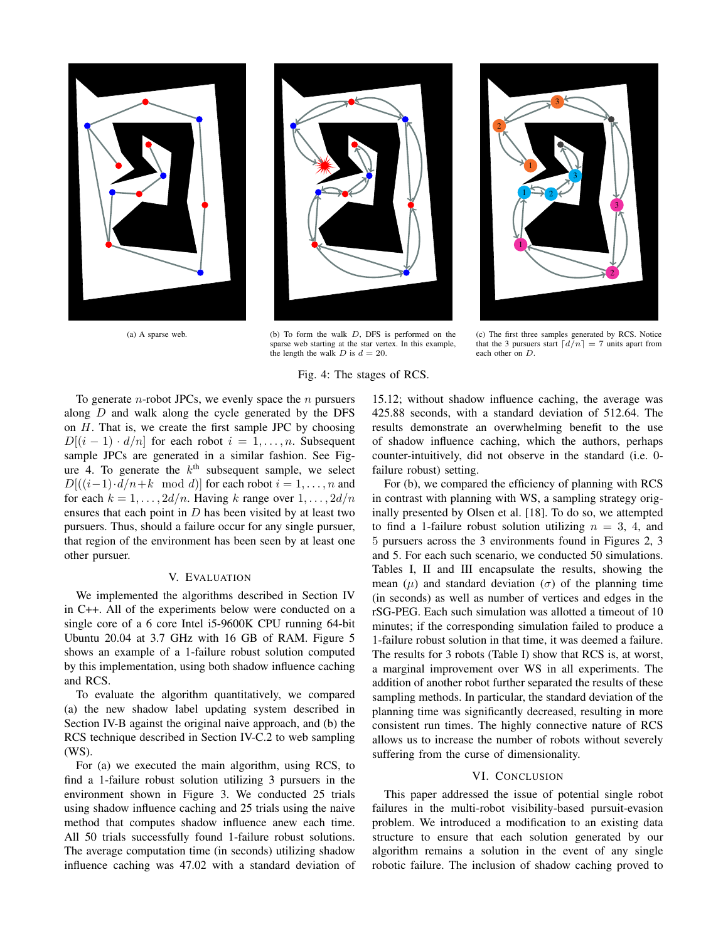



(a) A sparse web. (b) To form the walk D, DFS is performed on the sparse web starting at the star vertex. In this example, the length the walk  $D$  is  $d = 20$ .



(c) The first three samples generated by RCS. Notice that the 3 pursuers start  $\lfloor d/n \rfloor = 7$  units apart from each other on D.

## Fig. 4: The stages of RCS.

To generate *n*-robot JPCs, we evenly space the *n* pursuers along D and walk along the cycle generated by the DFS on  $H$ . That is, we create the first sample JPC by choosing  $D[(i-1)\cdot d/n]$  for each robot  $i=1,\ldots,n$ . Subsequent sample JPCs are generated in a similar fashion. See Figure 4. To generate the  $k^{\text{th}}$  subsequent sample, we select  $D[((i-1)\cdot d/n+k \mod d)]$  for each robot  $i=1,\ldots,n$  and for each  $k = 1, \ldots, 2d/n$ . Having k range over  $1, \ldots, 2d/n$ ensures that each point in  $D$  has been visited by at least two pursuers. Thus, should a failure occur for any single pursuer, that region of the environment has been seen by at least one other pursuer.

## V. EVALUATION

We implemented the algorithms described in Section IV in C++. All of the experiments below were conducted on a single core of a 6 core Intel i5-9600K CPU running 64-bit Ubuntu 20.04 at 3.7 GHz with 16 GB of RAM. Figure 5 shows an example of a 1-failure robust solution computed by this implementation, using both shadow influence caching and RCS.

To evaluate the algorithm quantitatively, we compared (a) the new shadow label updating system described in Section IV-B against the original naive approach, and (b) the RCS technique described in Section IV-C.2 to web sampling (WS).

For (a) we executed the main algorithm, using RCS, to find a 1-failure robust solution utilizing 3 pursuers in the environment shown in Figure 3. We conducted 25 trials using shadow influence caching and 25 trials using the naive method that computes shadow influence anew each time. All 50 trials successfully found 1-failure robust solutions. The average computation time (in seconds) utilizing shadow influence caching was 47.02 with a standard deviation of

15.12; without shadow influence caching, the average was 425.88 seconds, with a standard deviation of 512.64. The results demonstrate an overwhelming benefit to the use of shadow influence caching, which the authors, perhaps counter-intuitively, did not observe in the standard (i.e. 0 failure robust) setting.

For (b), we compared the efficiency of planning with RCS in contrast with planning with WS, a sampling strategy originally presented by Olsen et al. [18]. To do so, we attempted to find a 1-failure robust solution utilizing  $n = 3, 4$ , and 5 pursuers across the 3 environments found in Figures 2, 3 and 5. For each such scenario, we conducted 50 simulations. Tables I, II and III encapsulate the results, showing the mean  $(\mu)$  and standard deviation  $(\sigma)$  of the planning time (in seconds) as well as number of vertices and edges in the rSG-PEG. Each such simulation was allotted a timeout of 10 minutes; if the corresponding simulation failed to produce a 1-failure robust solution in that time, it was deemed a failure. The results for 3 robots (Table I) show that RCS is, at worst, a marginal improvement over WS in all experiments. The addition of another robot further separated the results of these sampling methods. In particular, the standard deviation of the planning time was significantly decreased, resulting in more consistent run times. The highly connective nature of RCS allows us to increase the number of robots without severely suffering from the curse of dimensionality.

#### VI. CONCLUSION

This paper addressed the issue of potential single robot failures in the multi-robot visibility-based pursuit-evasion problem. We introduced a modification to an existing data structure to ensure that each solution generated by our algorithm remains a solution in the event of any single robotic failure. The inclusion of shadow caching proved to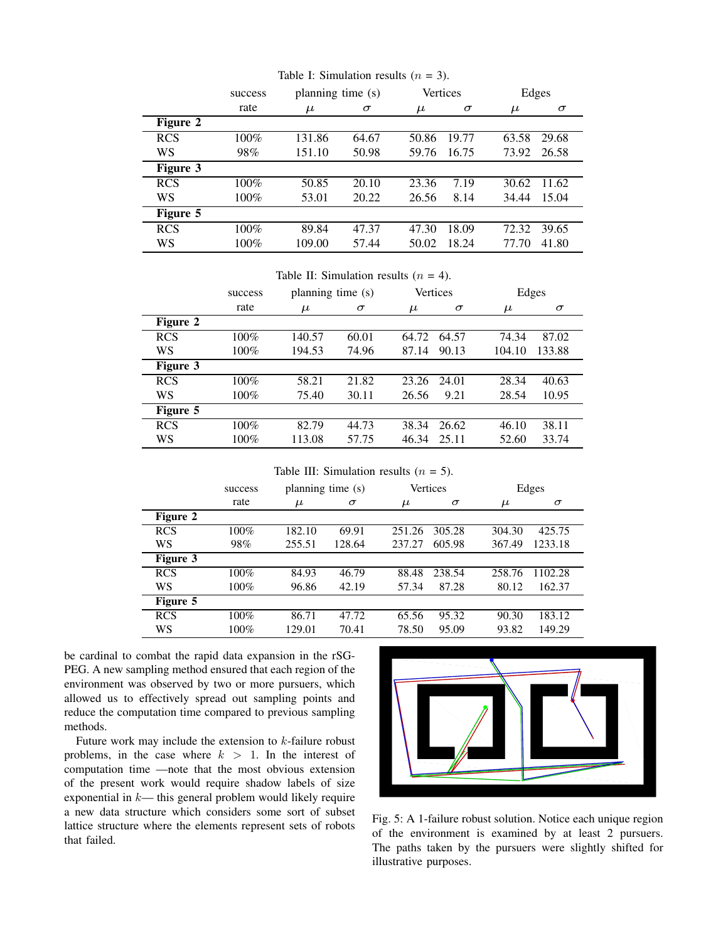|            | success | planning time (s) |          | Vertices |          | Edges |          |
|------------|---------|-------------------|----------|----------|----------|-------|----------|
|            | rate    | $\mu$             | $\sigma$ | $\mu$    | $\sigma$ | $\mu$ | $\sigma$ |
| Figure 2   |         |                   |          |          |          |       |          |
| <b>RCS</b> | $100\%$ | 131.86            | 64.67    | 50.86    | 19.77    | 63.58 | 29.68    |
| WS         | 98%     | 151.10            | 50.98    | 59.76    | 16.75    | 73.92 | 26.58    |
| Figure 3   |         |                   |          |          |          |       |          |
| <b>RCS</b> | $100\%$ | 50.85             | 20.10    | 23.36    | 7.19     | 30.62 | 11.62    |
| WS         | 100%    | 53.01             | 20.22    | 26.56    | 8.14     | 34.44 | 15.04    |
| Figure 5   |         |                   |          |          |          |       |          |
| <b>RCS</b> | 100%    | 89.84             | 47.37    | 47.30    | 18.09    | 72.32 | 39.65    |
| WS         | 100%    | 109.00            | 57.44    | 50.02    | 18.24    | 77.70 | 41.80    |

Table I: Simulation results  $(n = 3)$ .

Table II: Simulation results  $(n = 4)$ .

|            | success | planning time (s) |          | Vertices |          | Edges  |          |
|------------|---------|-------------------|----------|----------|----------|--------|----------|
|            | rate    | $\mu$             | $\sigma$ | $\mu$    | $\sigma$ | $\mu$  | $\sigma$ |
| Figure 2   |         |                   |          |          |          |        |          |
| <b>RCS</b> | $100\%$ | 140.57            | 60.01    | 64.72    | 64.57    | 74.34  | 87.02    |
| WS         | 100%    | 194.53            | 74.96    | 87.14    | 90.13    | 104.10 | 133.88   |
| Figure 3   |         |                   |          |          |          |        |          |
| <b>RCS</b> | $100\%$ | 58.21             | 21.82    | 23.26    | 24.01    | 28.34  | 40.63    |
| WS         | $100\%$ | 75.40             | 30.11    | 26.56    | 9.21     | 28.54  | 10.95    |
| Figure 5   |         |                   |          |          |          |        |          |
| <b>RCS</b> | $100\%$ | 82.79             | 44.73    | 38.34    | 26.62    | 46.10  | 38.11    |
| WS         | $100\%$ | 113.08            | 57.75    | 46.34    | 25.11    | 52.60  | 33.74    |

Table III: Simulation results  $(n = 5)$ .

|                 | success | planning time (s) |          |        | Vertices |        | Edges    |  |
|-----------------|---------|-------------------|----------|--------|----------|--------|----------|--|
|                 | rate    | $\mu$             | $\sigma$ | $\mu$  | $\sigma$ | $\mu$  | $\sigma$ |  |
| Figure 2        |         |                   |          |        |          |        |          |  |
| <b>RCS</b>      | 100%    | 182.10            | 69.91    | 251.26 | 305.28   | 304.30 | 425.75   |  |
| WS              | 98%     | 255.51            | 128.64   | 237.27 | 605.98   | 367.49 | 1233.18  |  |
| <b>Figure 3</b> |         |                   |          |        |          |        |          |  |
| <b>RCS</b>      | 100%    | 84.93             | 46.79    | 88.48  | 238.54   | 258.76 | 1102.28  |  |
| WS              | 100%    | 96.86             | 42.19    | 57.34  | 87.28    | 80.12  | 162.37   |  |
| Figure 5        |         |                   |          |        |          |        |          |  |
| <b>RCS</b>      | $100\%$ | 86.71             | 47.72    | 65.56  | 95.32    | 90.30  | 183.12   |  |
| WS              | 100%    | 129.01            | 70.41    | 78.50  | 95.09    | 93.82  | 149.29   |  |

be cardinal to combat the rapid data expansion in the rSG-PEG. A new sampling method ensured that each region of the environment was observed by two or more pursuers, which allowed us to effectively spread out sampling points and reduce the computation time compared to previous sampling methods.

Future work may include the extension to  $k$ -failure robust problems, in the case where  $k > 1$ . In the interest of computation time —note that the most obvious extension of the present work would require shadow labels of size exponential in  $k$ — this general problem would likely require a new data structure which considers some sort of subset lattice structure where the elements represent sets of robots that failed.



Fig. 5: A 1-failure robust solution. Notice each unique region of the environment is examined by at least 2 pursuers. The paths taken by the pursuers were slightly shifted for illustrative purposes.